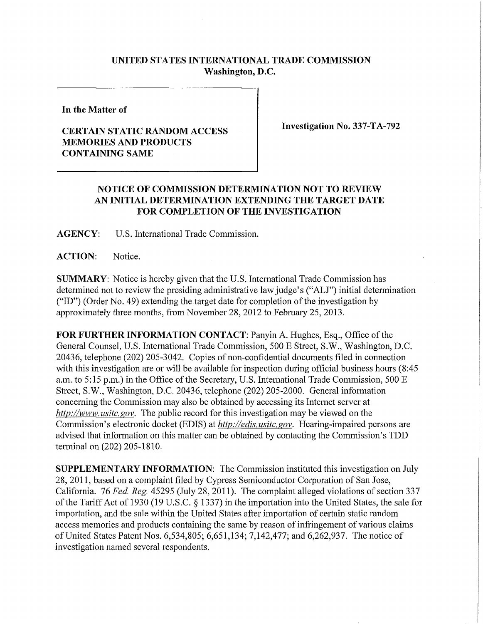## **UNITED STATES INTERNATIONAL TRADE COMMISSION Washington, D.C.**

**In the Matter of** 

## **CERTAIN STATIC RANDOM ACCESS MEMORIES AND PRODUCTS CONTAINING SAME**

**Investigation No. 337-TA-792** 

## **NOTICE OF COMMISSION DETERMINATION NOT TO REVIEW AN INITIAL DETERMINATION EXTENDING THE TARGET DATE FOR COMPLETION OF THE INVESTIGATION**

**AGENCY:** U.S. International Trade Commission.

ACTION: Notice.

**SUMMARY:** Notice is hereby given that the U.S. International Trade Commission has determined not to review the presiding administrative law judge's ("ALJ") initial determination ("ID") (Order No. 49) extending the target date for completion of the investigation by approximately three months, from November 28, 2012 to February 25, 2013.

**FOR FURTHER INFORMATION CONTACT: Panyin A. Hughes, Esq., Office of the** General Counsel, U.S. International Trade Commission, 500 E Street, S.W., Washington, D.C. 20436, telephone (202) 205-3042. Copies of non-confidential documents filed in connection with this investigation are or will be available for inspection during official business hours (8:45 a.m. to 5:15 p.m.) in the Office of the Secretary, U.S. International Trade Commission, 500 E Street, S.W., Washington, D.C. 20436, telephone (202) 205-2000. General information concerning the Commission may also be obtained by accessing its Internet server at *http://www. usitc. gov.* The public record for this investigation may be viewed on the Commission's electronic docket (EDIS) at *http://edis. usitc.gov.* Hearing-impaired persons are advised that information on this matter can be obtained by contacting the Commission's TDD terminal on (202) 205-1810.

**SUPPLEMENTARY INFORMATION:** The Commission instituted this investigation on July 28, 2011, based on a complaint filed by Cypress Semiconductor Corporation of San Jose, California. 76 *Fed. Reg.* 45295 (July 28, 2011). The complaint alleged violations of section 337 ofthe Tariff Act of 1930 (19 U.S.C. § 1337) in the importation into the United States, the sale for importation, and the sale within the United States after importation of certain static random access memories and products containing the same by reason of infringement of various claims of United States Patent Nos. 6,534,805; 6,651,134; 7,142,477; and 6,262,937. The notice of investigation named several respondents.